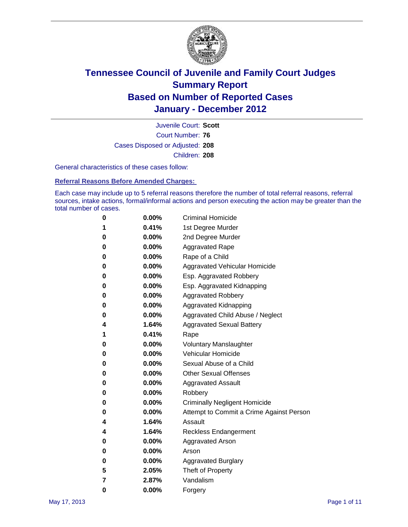

Court Number: **76** Juvenile Court: **Scott** Cases Disposed or Adjusted: **208** Children: **208**

General characteristics of these cases follow:

**Referral Reasons Before Amended Charges:** 

Each case may include up to 5 referral reasons therefore the number of total referral reasons, referral sources, intake actions, formal/informal actions and person executing the action may be greater than the total number of cases.

| 0 | $0.00\%$ | <b>Criminal Homicide</b>                 |
|---|----------|------------------------------------------|
| 1 | 0.41%    | 1st Degree Murder                        |
| 0 | $0.00\%$ | 2nd Degree Murder                        |
| 0 | $0.00\%$ | <b>Aggravated Rape</b>                   |
| 0 | $0.00\%$ | Rape of a Child                          |
| 0 | $0.00\%$ | <b>Aggravated Vehicular Homicide</b>     |
| 0 | $0.00\%$ | Esp. Aggravated Robbery                  |
| 0 | $0.00\%$ | Esp. Aggravated Kidnapping               |
| 0 | $0.00\%$ | <b>Aggravated Robbery</b>                |
| 0 | $0.00\%$ | Aggravated Kidnapping                    |
| 0 | $0.00\%$ | Aggravated Child Abuse / Neglect         |
| 4 | 1.64%    | <b>Aggravated Sexual Battery</b>         |
| 1 | 0.41%    | Rape                                     |
| 0 | $0.00\%$ | <b>Voluntary Manslaughter</b>            |
| 0 | $0.00\%$ | Vehicular Homicide                       |
| 0 | $0.00\%$ | Sexual Abuse of a Child                  |
| 0 | $0.00\%$ | <b>Other Sexual Offenses</b>             |
| 0 | $0.00\%$ | <b>Aggravated Assault</b>                |
| 0 | 0.00%    | Robbery                                  |
| 0 | $0.00\%$ | <b>Criminally Negligent Homicide</b>     |
| 0 | $0.00\%$ | Attempt to Commit a Crime Against Person |
| 4 | 1.64%    | Assault                                  |
| 4 | 1.64%    | <b>Reckless Endangerment</b>             |
| 0 | $0.00\%$ | <b>Aggravated Arson</b>                  |
| 0 | $0.00\%$ | Arson                                    |
| 0 | $0.00\%$ | <b>Aggravated Burglary</b>               |
| 5 | 2.05%    | Theft of Property                        |
| 7 | 2.87%    | Vandalism                                |
| 0 | 0.00%    | Forgery                                  |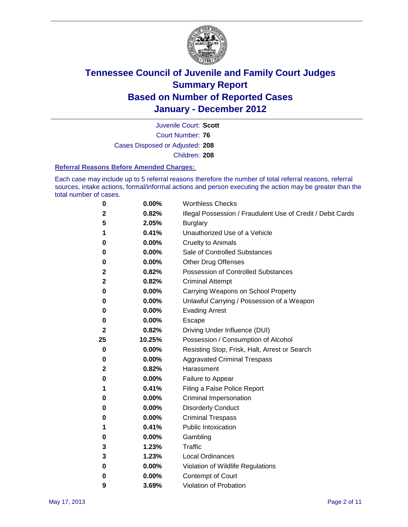

Court Number: **76** Juvenile Court: **Scott** Cases Disposed or Adjusted: **208** Children: **208**

#### **Referral Reasons Before Amended Charges:**

Each case may include up to 5 referral reasons therefore the number of total referral reasons, referral sources, intake actions, formal/informal actions and person executing the action may be greater than the total number of cases.

| 0            | 0.00%    | <b>Worthless Checks</b>                                     |
|--------------|----------|-------------------------------------------------------------|
| $\mathbf{2}$ | 0.82%    | Illegal Possession / Fraudulent Use of Credit / Debit Cards |
| 5            | 2.05%    | <b>Burglary</b>                                             |
| 1            | 0.41%    | Unauthorized Use of a Vehicle                               |
| 0            | 0.00%    | <b>Cruelty to Animals</b>                                   |
| 0            | 0.00%    | Sale of Controlled Substances                               |
| 0            | 0.00%    | <b>Other Drug Offenses</b>                                  |
| 2            | 0.82%    | <b>Possession of Controlled Substances</b>                  |
| 2            | 0.82%    | <b>Criminal Attempt</b>                                     |
| 0            | 0.00%    | Carrying Weapons on School Property                         |
| 0            | 0.00%    | Unlawful Carrying / Possession of a Weapon                  |
| 0            | 0.00%    | <b>Evading Arrest</b>                                       |
| 0            | 0.00%    | Escape                                                      |
| 2            | 0.82%    | Driving Under Influence (DUI)                               |
| 25           | 10.25%   | Possession / Consumption of Alcohol                         |
| 0            | 0.00%    | Resisting Stop, Frisk, Halt, Arrest or Search               |
| 0            | 0.00%    | <b>Aggravated Criminal Trespass</b>                         |
| 2            | 0.82%    | Harassment                                                  |
| 0            | 0.00%    | Failure to Appear                                           |
| 1            | 0.41%    | Filing a False Police Report                                |
| 0            | 0.00%    | Criminal Impersonation                                      |
| 0            | 0.00%    | <b>Disorderly Conduct</b>                                   |
| 0            | 0.00%    | <b>Criminal Trespass</b>                                    |
| 1            | 0.41%    | <b>Public Intoxication</b>                                  |
| 0            | 0.00%    | Gambling                                                    |
| 3            | 1.23%    | <b>Traffic</b>                                              |
| 3            | 1.23%    | <b>Local Ordinances</b>                                     |
| 0            | 0.00%    | Violation of Wildlife Regulations                           |
| 0            | $0.00\%$ | Contempt of Court                                           |
| 9            | 3.69%    | Violation of Probation                                      |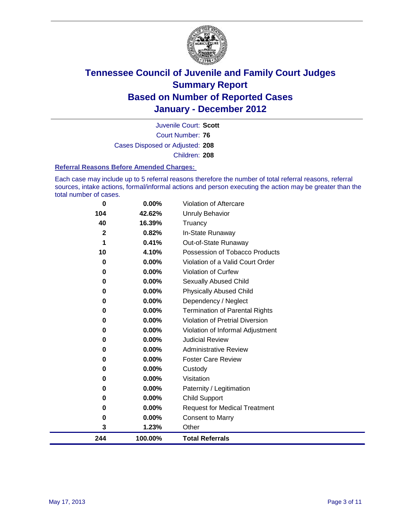

Court Number: **76** Juvenile Court: **Scott** Cases Disposed or Adjusted: **208** Children: **208**

#### **Referral Reasons Before Amended Charges:**

Each case may include up to 5 referral reasons therefore the number of total referral reasons, referral sources, intake actions, formal/informal actions and person executing the action may be greater than the total number of cases.

| 0            | 0.00%    | Violation of Aftercare                 |
|--------------|----------|----------------------------------------|
| 104          | 42.62%   | Unruly Behavior                        |
| 40           | 16.39%   | Truancy                                |
| $\mathbf{2}$ | 0.82%    | In-State Runaway                       |
| 1            | 0.41%    | Out-of-State Runaway                   |
| 10           | 4.10%    | Possession of Tobacco Products         |
| 0            | $0.00\%$ | Violation of a Valid Court Order       |
| $\bf{0}$     | 0.00%    | Violation of Curfew                    |
| 0            | $0.00\%$ | Sexually Abused Child                  |
| $\bf{0}$     | 0.00%    | <b>Physically Abused Child</b>         |
| $\bf{0}$     | 0.00%    | Dependency / Neglect                   |
| 0            | $0.00\%$ | <b>Termination of Parental Rights</b>  |
| $\bf{0}$     | 0.00%    | <b>Violation of Pretrial Diversion</b> |
| 0            | 0.00%    | Violation of Informal Adjustment       |
| 0            | $0.00\%$ | <b>Judicial Review</b>                 |
| 0            | $0.00\%$ | <b>Administrative Review</b>           |
| 0            | 0.00%    | <b>Foster Care Review</b>              |
| 0            | $0.00\%$ | Custody                                |
| 0            | 0.00%    | Visitation                             |
| 0            | $0.00\%$ | Paternity / Legitimation               |
| 0            | 0.00%    | <b>Child Support</b>                   |
| 0            | 0.00%    | <b>Request for Medical Treatment</b>   |
| 0            | 0.00%    | <b>Consent to Marry</b>                |
| 3            | 1.23%    | Other                                  |
| 244          | 100.00%  | <b>Total Referrals</b>                 |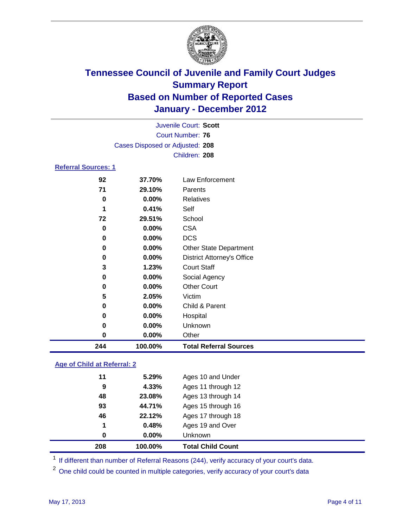

|                            | Juvenile Court: Scott           |                                   |  |
|----------------------------|---------------------------------|-----------------------------------|--|
|                            | <b>Court Number: 76</b>         |                                   |  |
|                            | Cases Disposed or Adjusted: 208 |                                   |  |
|                            |                                 | Children: 208                     |  |
| <b>Referral Sources: 1</b> |                                 |                                   |  |
| 92                         | 37.70%                          | Law Enforcement                   |  |
| 71                         | 29.10%                          | Parents                           |  |
| 0                          | $0.00\%$                        | <b>Relatives</b>                  |  |
| 1                          | 0.41%                           | Self                              |  |
| 72                         | 29.51%                          | School                            |  |
| 0                          | $0.00\%$                        | <b>CSA</b>                        |  |
| 0                          | 0.00%                           | <b>DCS</b>                        |  |
| 0                          | 0.00%                           | Other State Department            |  |
| 0                          | $0.00\%$                        | <b>District Attorney's Office</b> |  |
| 3                          | 1.23%                           | <b>Court Staff</b>                |  |
| 0                          | 0.00%                           | Social Agency                     |  |
| 0                          | 0.00%                           | <b>Other Court</b>                |  |
| 5                          | 2.05%                           | Victim                            |  |
| 0                          | 0.00%                           | Child & Parent                    |  |
| 0                          | 0.00%                           | Hospital                          |  |
| 0                          | 0.00%                           | Unknown                           |  |
| 0                          | 0.00%                           | Other                             |  |
| 244                        | 100.00%                         | <b>Total Referral Sources</b>     |  |

#### **Age of Child at Referral: 2**

| 0  | 0.48%<br>$0.00\%$ | Ages 19 and Over<br><b>Unknown</b> |
|----|-------------------|------------------------------------|
|    |                   |                                    |
| 1  |                   |                                    |
| 46 | 22.12%            | Ages 17 through 18                 |
| 93 | 44.71%            | Ages 15 through 16                 |
| 48 | 23.08%            | Ages 13 through 14                 |
| 9  | 4.33%             | Ages 11 through 12                 |
| 11 | 5.29%             | Ages 10 and Under                  |
|    |                   |                                    |

<sup>1</sup> If different than number of Referral Reasons (244), verify accuracy of your court's data.

<sup>2</sup> One child could be counted in multiple categories, verify accuracy of your court's data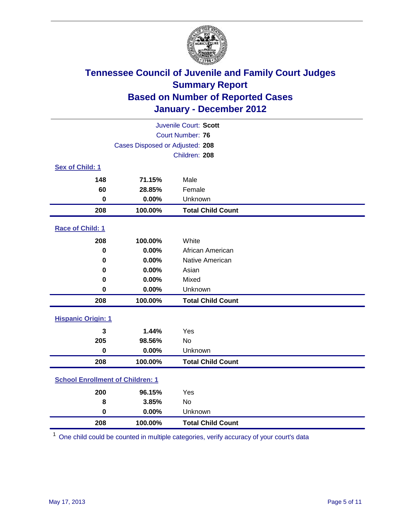

| Juvenile Court: Scott                   |                                 |                          |  |
|-----------------------------------------|---------------------------------|--------------------------|--|
|                                         | <b>Court Number: 76</b>         |                          |  |
|                                         | Cases Disposed or Adjusted: 208 |                          |  |
|                                         |                                 | Children: 208            |  |
| Sex of Child: 1                         |                                 |                          |  |
| 148                                     | 71.15%                          | Male                     |  |
| 60                                      | 28.85%                          | Female                   |  |
| $\mathbf 0$                             | 0.00%                           | Unknown                  |  |
| 208                                     | 100.00%                         | <b>Total Child Count</b> |  |
| Race of Child: 1                        |                                 |                          |  |
| 208                                     | 100.00%                         | White                    |  |
| $\mathbf 0$                             | 0.00%                           | African American         |  |
| 0                                       | 0.00%                           | Native American          |  |
| 0                                       | 0.00%                           | Asian                    |  |
| 0                                       | 0.00%                           | Mixed                    |  |
| $\mathbf 0$                             | 0.00%                           | Unknown                  |  |
| 208                                     | 100.00%                         | <b>Total Child Count</b> |  |
| <b>Hispanic Origin: 1</b>               |                                 |                          |  |
| 3                                       | 1.44%                           | Yes                      |  |
| 205                                     | 98.56%                          | No                       |  |
| $\mathbf 0$                             | 0.00%                           | Unknown                  |  |
| 208                                     | 100.00%                         | <b>Total Child Count</b> |  |
| <b>School Enrollment of Children: 1</b> |                                 |                          |  |
| 200                                     | 96.15%                          | Yes                      |  |
| 8                                       | 3.85%                           | No                       |  |
| $\mathbf 0$                             | 0.00%                           | Unknown                  |  |
| 208                                     | 100.00%                         | <b>Total Child Count</b> |  |

One child could be counted in multiple categories, verify accuracy of your court's data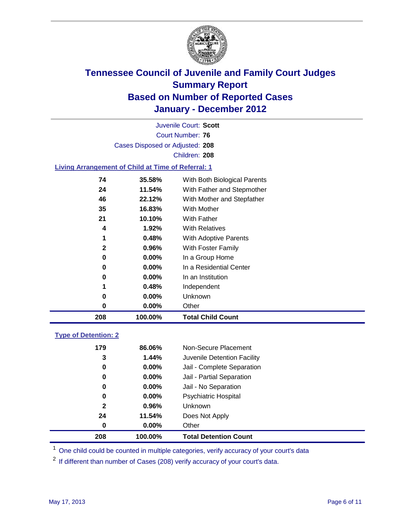

Court Number: **76** Juvenile Court: **Scott** Cases Disposed or Adjusted: **208** Children: **208**

#### **Living Arrangement of Child at Time of Referral: 1**

| 208          | 100.00%  | <b>Total Child Count</b>     |
|--------------|----------|------------------------------|
| 0            | $0.00\%$ | Other                        |
| 0            | $0.00\%$ | Unknown                      |
| 1            | 0.48%    | Independent                  |
| 0            | $0.00\%$ | In an Institution            |
| 0            | $0.00\%$ | In a Residential Center      |
| 0            | 0.00%    | In a Group Home              |
| $\mathbf{2}$ | 0.96%    | With Foster Family           |
| 1            | 0.48%    | <b>With Adoptive Parents</b> |
| 4            | 1.92%    | <b>With Relatives</b>        |
| 21           | 10.10%   | With Father                  |
| 35           | 16.83%   | <b>With Mother</b>           |
| 46           | 22.12%   | With Mother and Stepfather   |
| 24           | 11.54%   | With Father and Stepmother   |
| 74           | 35.58%   | With Both Biological Parents |
|              |          |                              |

#### **Type of Detention: 2**

| 208          | 100.00%  | <b>Total Detention Count</b> |
|--------------|----------|------------------------------|
| 0            | $0.00\%$ | Other                        |
| 24           | 11.54%   | Does Not Apply               |
| $\mathbf{2}$ | $0.96\%$ | Unknown                      |
| 0            | 0.00%    | Psychiatric Hospital         |
| 0            | 0.00%    | Jail - No Separation         |
| 0            | $0.00\%$ | Jail - Partial Separation    |
| 0            | 0.00%    | Jail - Complete Separation   |
| 3            | 1.44%    | Juvenile Detention Facility  |
| 179          | 86.06%   | Non-Secure Placement         |
|              |          |                              |

<sup>1</sup> One child could be counted in multiple categories, verify accuracy of your court's data

<sup>2</sup> If different than number of Cases (208) verify accuracy of your court's data.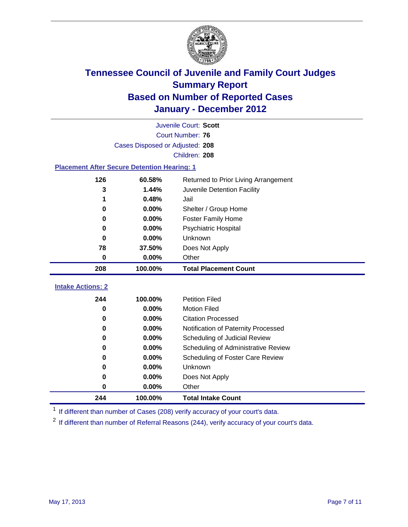

| Juvenile Court: Scott    |                                                    |                                     |  |  |  |
|--------------------------|----------------------------------------------------|-------------------------------------|--|--|--|
| Court Number: 76         |                                                    |                                     |  |  |  |
|                          | Cases Disposed or Adjusted: 208                    |                                     |  |  |  |
|                          |                                                    | Children: 208                       |  |  |  |
|                          | <b>Placement After Secure Detention Hearing: 1</b> |                                     |  |  |  |
| 126                      | 60.58%<br>Returned to Prior Living Arrangement     |                                     |  |  |  |
| 3                        | 1.44%                                              | Juvenile Detention Facility         |  |  |  |
|                          | 0.48%                                              | Jail                                |  |  |  |
| 0                        | 0.00%                                              | Shelter / Group Home                |  |  |  |
| 0                        | 0.00%                                              | <b>Foster Family Home</b>           |  |  |  |
| 0                        | $0.00\%$                                           | Psychiatric Hospital                |  |  |  |
| 0                        | $0.00\%$                                           | Unknown                             |  |  |  |
| 78                       | 37.50%                                             | Does Not Apply                      |  |  |  |
| 0                        | $0.00\%$                                           | Other                               |  |  |  |
| 208                      | 100.00%                                            | <b>Total Placement Count</b>        |  |  |  |
| <b>Intake Actions: 2</b> |                                                    |                                     |  |  |  |
| 244                      | 100.00%                                            | <b>Petition Filed</b>               |  |  |  |
| 0                        | $0.00\%$                                           | <b>Motion Filed</b>                 |  |  |  |
| 0                        | $0.00\%$                                           | <b>Citation Processed</b>           |  |  |  |
| 0                        | $0.00\%$                                           | Notification of Paternity Processed |  |  |  |
| 0                        | $0.00\%$                                           | Scheduling of Judicial Review       |  |  |  |
| 0                        | 0.00%                                              | Scheduling of Administrative Review |  |  |  |

 **100.00% Total Intake Count** <sup>1</sup> If different than number of Cases (208) verify accuracy of your court's data.

**0.00%** Does Not Apply

**0.00%** Unknown

<sup>2</sup> If different than number of Referral Reasons (244), verify accuracy of your court's data.

**0.00%** Scheduling of Foster Care Review

**0.00%** Other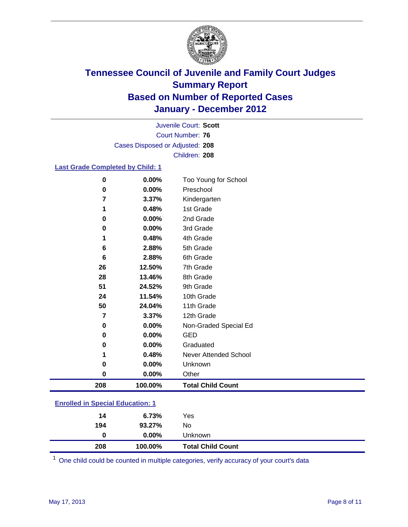

Court Number: **76** Juvenile Court: **Scott** Cases Disposed or Adjusted: **208** Children: **208**

#### **Last Grade Completed by Child: 1**

| 0                                 | 0.00%    | Too Young for School         |
|-----------------------------------|----------|------------------------------|
| 0                                 | 0.00%    | Preschool                    |
| 7                                 | 3.37%    | Kindergarten                 |
| 1                                 | 0.48%    | 1st Grade                    |
| 0                                 | $0.00\%$ | 2nd Grade                    |
| 0                                 | 0.00%    | 3rd Grade                    |
| 1                                 | 0.48%    | 4th Grade                    |
| 6                                 | 2.88%    | 5th Grade                    |
| 6                                 | 2.88%    | 6th Grade                    |
| 26                                | 12.50%   | 7th Grade                    |
| 28                                | 13.46%   | 8th Grade                    |
| 51                                | 24.52%   | 9th Grade                    |
| 24                                | 11.54%   | 10th Grade                   |
| 50                                | 24.04%   | 11th Grade                   |
| 7                                 | 3.37%    | 12th Grade                   |
| 0                                 | 0.00%    | Non-Graded Special Ed        |
| 0                                 | 0.00%    | <b>GED</b>                   |
| 0                                 | 0.00%    | Graduated                    |
| 1                                 | 0.48%    | <b>Never Attended School</b> |
| 0                                 | 0.00%    | Unknown                      |
| 0                                 | 0.00%    | Other                        |
| 208                               | 100.00%  | <b>Total Child Count</b>     |
| Envelled in Chesial Editionian: 4 |          |                              |

| 208                                     | 100.00%  | <b>Total Child Count</b> |  |  |
|-----------------------------------------|----------|--------------------------|--|--|
| 0                                       | $0.00\%$ | Unknown                  |  |  |
| 194                                     | 93.27%   | No.                      |  |  |
| 14                                      | 6.73%    | Yes                      |  |  |
| <b>Enrolled in Special Education: 1</b> |          |                          |  |  |

One child could be counted in multiple categories, verify accuracy of your court's data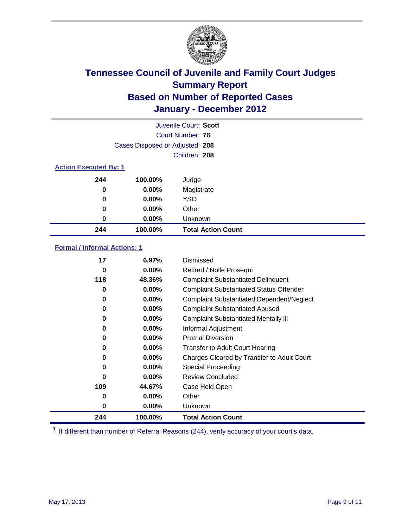

| Juvenile Court: Scott        |                                 |                           |
|------------------------------|---------------------------------|---------------------------|
|                              |                                 | Court Number: 76          |
|                              | Cases Disposed or Adjusted: 208 |                           |
|                              |                                 | Children: 208             |
| <b>Action Executed By: 1</b> |                                 |                           |
| 244                          | 100.00%                         | Judge                     |
| 0                            | $0.00\%$                        | Magistrate                |
| 0                            | $0.00\%$                        | <b>YSO</b>                |
| 0                            | 0.00%                           | Other                     |
| 0                            | 0.00%                           | Unknown                   |
| 244                          | 100.00%                         | <b>Total Action Count</b> |

### **Formal / Informal Actions: 1**

| 17  | 6.97%    | Dismissed                                        |
|-----|----------|--------------------------------------------------|
| 0   | $0.00\%$ | Retired / Nolle Prosequi                         |
| 118 | 48.36%   | <b>Complaint Substantiated Delinquent</b>        |
| 0   | $0.00\%$ | <b>Complaint Substantiated Status Offender</b>   |
| 0   | $0.00\%$ | <b>Complaint Substantiated Dependent/Neglect</b> |
| 0   | $0.00\%$ | <b>Complaint Substantiated Abused</b>            |
| 0   | $0.00\%$ | <b>Complaint Substantiated Mentally III</b>      |
| 0   | $0.00\%$ | Informal Adjustment                              |
| 0   | $0.00\%$ | <b>Pretrial Diversion</b>                        |
| 0   | $0.00\%$ | <b>Transfer to Adult Court Hearing</b>           |
| 0   | $0.00\%$ | Charges Cleared by Transfer to Adult Court       |
| 0   | $0.00\%$ | <b>Special Proceeding</b>                        |
| 0   | $0.00\%$ | <b>Review Concluded</b>                          |
| 109 | 44.67%   | Case Held Open                                   |
| 0   | $0.00\%$ | Other                                            |
| 0   | $0.00\%$ | Unknown                                          |
| 244 | 100.00%  | <b>Total Action Count</b>                        |

<sup>1</sup> If different than number of Referral Reasons (244), verify accuracy of your court's data.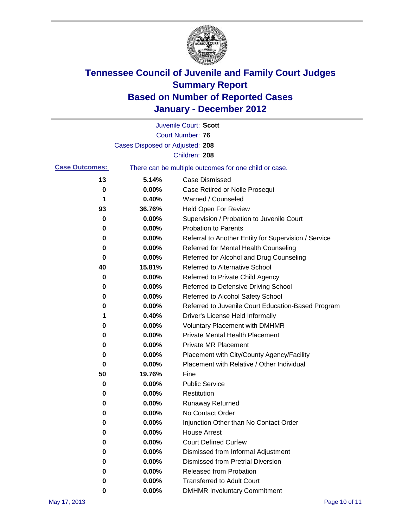

|                       |                                 | Juvenile Court: Scott                                 |
|-----------------------|---------------------------------|-------------------------------------------------------|
|                       |                                 | <b>Court Number: 76</b>                               |
|                       | Cases Disposed or Adjusted: 208 |                                                       |
|                       |                                 | Children: 208                                         |
| <b>Case Outcomes:</b> |                                 | There can be multiple outcomes for one child or case. |
| 13                    | 5.14%                           | Case Dismissed                                        |
| 0                     | 0.00%                           | Case Retired or Nolle Prosequi                        |
| 1                     | 0.40%                           | Warned / Counseled                                    |
| 93                    | 36.76%                          | Held Open For Review                                  |
| 0                     | 0.00%                           | Supervision / Probation to Juvenile Court             |
| 0                     | 0.00%                           | <b>Probation to Parents</b>                           |
| 0                     | 0.00%                           | Referral to Another Entity for Supervision / Service  |
| 0                     | 0.00%                           | Referred for Mental Health Counseling                 |
| 0                     | 0.00%                           | Referred for Alcohol and Drug Counseling              |
| 40                    | 15.81%                          | <b>Referred to Alternative School</b>                 |
| 0                     | 0.00%                           | Referred to Private Child Agency                      |
| 0                     | 0.00%                           | Referred to Defensive Driving School                  |
| 0                     | 0.00%                           | Referred to Alcohol Safety School                     |
| 0                     | 0.00%                           | Referred to Juvenile Court Education-Based Program    |
| 1                     | 0.40%                           | Driver's License Held Informally                      |
| 0                     | 0.00%                           | <b>Voluntary Placement with DMHMR</b>                 |
| 0                     | 0.00%                           | <b>Private Mental Health Placement</b>                |
| 0                     | 0.00%                           | <b>Private MR Placement</b>                           |
| 0                     | 0.00%                           | Placement with City/County Agency/Facility            |
| 0                     | 0.00%                           | Placement with Relative / Other Individual            |
| 50                    | 19.76%                          | Fine                                                  |
| 0                     | 0.00%                           | <b>Public Service</b>                                 |
| 0                     | 0.00%                           | Restitution                                           |
| 0                     | 0.00%                           | Runaway Returned                                      |
| 0                     | 0.00%                           | No Contact Order                                      |
| $\bf{0}$              | 0.00%                           | Injunction Other than No Contact Order                |
| 0                     | 0.00%                           | <b>House Arrest</b>                                   |
| 0                     | 0.00%                           | <b>Court Defined Curfew</b>                           |
| 0                     | 0.00%                           | Dismissed from Informal Adjustment                    |
| 0                     | 0.00%                           | <b>Dismissed from Pretrial Diversion</b>              |
| 0                     | 0.00%                           | <b>Released from Probation</b>                        |
| 0                     | 0.00%                           | <b>Transferred to Adult Court</b>                     |
| 0                     | $0.00\%$                        | <b>DMHMR Involuntary Commitment</b>                   |